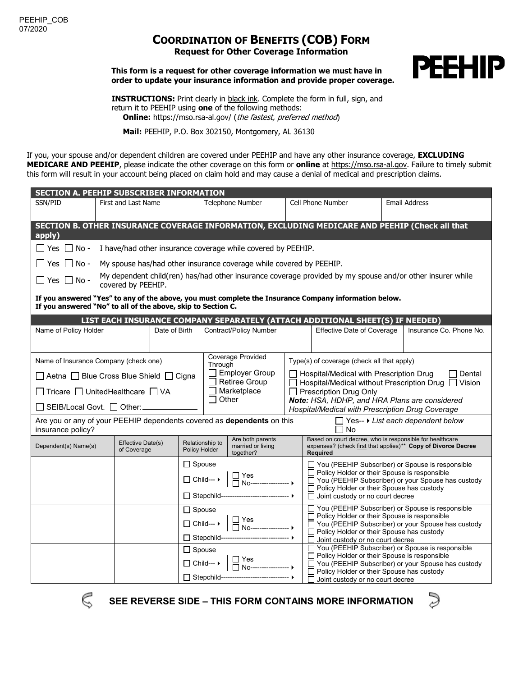## **COORDINATION OF BENEFITS (COB) FORM Request for Other Coverage Information**

**This form is a request for other coverage information we must have in order to update your insurance information and provide proper coverage.**



**INSTRUCTIONS:** Print clearly in black ink. Complete the form in full, sign, and return it to PEEHIP using **one** of the following methods: **Online:** <https://mso.rsa-al.gov/> (the fastest, preferred method)

**Mail:** PEEHIP, P.O. Box 302150, Montgomery, AL 36130

If you, your spouse and/or dependent children are covered under PEEHIP and have any other insurance coverage, **EXCLUDING MEDICARE AND PEEHIP**, please indicate the other coverage on this form or **online** at [https://mso.rsa-al.gov.](https://mso.rsa-al.gov/) Failure to timely submit this form will result in your account being placed on claim hold and may cause a denial of medical and prescription claims.

| <b>SECTION A. PEEHIP SUBSCRIBER INFORMATION</b>                                                                                                                       |                                                                     |                                                                                                                                 |                                                                                                                                                                                                                             |                                                 |                                                                                                                                                                                              |                                                                                                                                                                                                                                                                                                                                                     |                      |                         |  |  |  |  |  |
|-----------------------------------------------------------------------------------------------------------------------------------------------------------------------|---------------------------------------------------------------------|---------------------------------------------------------------------------------------------------------------------------------|-----------------------------------------------------------------------------------------------------------------------------------------------------------------------------------------------------------------------------|-------------------------------------------------|----------------------------------------------------------------------------------------------------------------------------------------------------------------------------------------------|-----------------------------------------------------------------------------------------------------------------------------------------------------------------------------------------------------------------------------------------------------------------------------------------------------------------------------------------------------|----------------------|-------------------------|--|--|--|--|--|
| SSN/PID                                                                                                                                                               | First and Last Name                                                 |                                                                                                                                 | Telephone Number                                                                                                                                                                                                            |                                                 | Cell Phone Number                                                                                                                                                                            |                                                                                                                                                                                                                                                                                                                                                     | <b>Email Address</b> |                         |  |  |  |  |  |
| apply)                                                                                                                                                                |                                                                     |                                                                                                                                 |                                                                                                                                                                                                                             |                                                 |                                                                                                                                                                                              | SECTION B. OTHER INSURANCE COVERAGE INFORMATION, EXCLUDING MEDICARE AND PEEHIP (Check all that                                                                                                                                                                                                                                                      |                      |                         |  |  |  |  |  |
| $\Box$ Yes $\Box$ No -<br>I have/had other insurance coverage while covered by PEEHIP.                                                                                |                                                                     |                                                                                                                                 |                                                                                                                                                                                                                             |                                                 |                                                                                                                                                                                              |                                                                                                                                                                                                                                                                                                                                                     |                      |                         |  |  |  |  |  |
| $\Box$ Yes $\Box$ No -                                                                                                                                                | My spouse has/had other insurance coverage while covered by PEEHIP. |                                                                                                                                 |                                                                                                                                                                                                                             |                                                 |                                                                                                                                                                                              |                                                                                                                                                                                                                                                                                                                                                     |                      |                         |  |  |  |  |  |
| $\Box$ Yes $\Box$ No -                                                                                                                                                |                                                                     | My dependent child(ren) has/had other insurance coverage provided by my spouse and/or other insurer while<br>covered by PEEHIP. |                                                                                                                                                                                                                             |                                                 |                                                                                                                                                                                              |                                                                                                                                                                                                                                                                                                                                                     |                      |                         |  |  |  |  |  |
| If you answered "Yes" to any of the above, you must complete the Insurance Company information below.<br>If you answered "No" to all of the above, skip to Section C. |                                                                     |                                                                                                                                 |                                                                                                                                                                                                                             |                                                 |                                                                                                                                                                                              |                                                                                                                                                                                                                                                                                                                                                     |                      |                         |  |  |  |  |  |
| LIST EACH INSURANCE COMPANY SEPARATELY (ATTACH ADDITIONAL SHEET(S) IF NEEDED)                                                                                         |                                                                     |                                                                                                                                 |                                                                                                                                                                                                                             |                                                 |                                                                                                                                                                                              |                                                                                                                                                                                                                                                                                                                                                     |                      |                         |  |  |  |  |  |
| Name of Policy Holder                                                                                                                                                 |                                                                     | Date of Birth                                                                                                                   | <b>Contract/Policy Number</b>                                                                                                                                                                                               |                                                 |                                                                                                                                                                                              | <b>Effective Date of Coverage</b>                                                                                                                                                                                                                                                                                                                   |                      | Insurance Co. Phone No. |  |  |  |  |  |
| Name of Insurance Company (check one)                                                                                                                                 |                                                                     |                                                                                                                                 |                                                                                                                                                                                                                             | Coverage Provided<br>Through                    |                                                                                                                                                                                              | Type(s) of coverage (check all that apply)                                                                                                                                                                                                                                                                                                          |                      |                         |  |  |  |  |  |
| □ Aetna □ Blue Cross Blue Shield □ Cigna                                                                                                                              |                                                                     |                                                                                                                                 |                                                                                                                                                                                                                             | <b>Employer Group</b><br>$\Box$ Retiree Group   | $\Box$ Dental<br>Hospital/Medical with Prescription Drug<br>□ Hospital/Medical without Prescription Drug □ Vision<br>Prescription Drug Only<br>Note: HSA, HDHP, and HRA Plans are considered |                                                                                                                                                                                                                                                                                                                                                     |                      |                         |  |  |  |  |  |
| □ Tricare □ UnitedHealthcare □ VA                                                                                                                                     |                                                                     |                                                                                                                                 | $\Box$ Marketplace<br>Other                                                                                                                                                                                                 |                                                 |                                                                                                                                                                                              |                                                                                                                                                                                                                                                                                                                                                     |                      |                         |  |  |  |  |  |
| □ SEIB/Local Govt. □ Other: _________                                                                                                                                 |                                                                     |                                                                                                                                 |                                                                                                                                                                                                                             |                                                 |                                                                                                                                                                                              | Hospital/Medical with Prescription Drug Coverage                                                                                                                                                                                                                                                                                                    |                      |                         |  |  |  |  |  |
| Are you or any of your PEEHIP dependents covered as dependents on this<br>$\Box$ Yes-- $\blacktriangleright$ List each dependent below<br>insurance policy?<br>l No   |                                                                     |                                                                                                                                 |                                                                                                                                                                                                                             |                                                 |                                                                                                                                                                                              |                                                                                                                                                                                                                                                                                                                                                     |                      |                         |  |  |  |  |  |
| Dependent(s) Name(s)                                                                                                                                                  | Effective Date(s)<br>of Coverage                                    |                                                                                                                                 | Are both parents<br>Relationship to<br>married or living<br>Policy Holder<br>together?                                                                                                                                      |                                                 |                                                                                                                                                                                              | Based on court decree, who is responsible for healthcare<br>expenses? (check first that applies)** Copy of Divorce Decree<br><b>Required</b>                                                                                                                                                                                                        |                      |                         |  |  |  |  |  |
|                                                                                                                                                                       |                                                                     |                                                                                                                                 | $\Box$ Spouse                                                                                                                                                                                                               |                                                 |                                                                                                                                                                                              | $\Box$ You (PEEHIP Subscriber) or Spouse is responsible                                                                                                                                                                                                                                                                                             |                      |                         |  |  |  |  |  |
|                                                                                                                                                                       |                                                                     |                                                                                                                                 | $\begin{array}{ c c c c }\n\hline\n\text{Child}\cdots\,\text{H} & \begin{array}{ c c }\n\hline\n\text{H} & \text{Yes} \\ \hline\n\text{No}\cdots\cdots\cdots\cdots\cdots\cdots\,\text{H}\n\end{array}\n\hline\n\end{array}$ |                                                 |                                                                                                                                                                                              | $\Box$ Policy Holder or their Spouse is responsible<br>□ You (PEEHIP Subscriber) or your Spouse has custody<br>□ Policy Holder or their Spouse has custody                                                                                                                                                                                          |                      |                         |  |  |  |  |  |
|                                                                                                                                                                       |                                                                     | □ Stepchild-------------------------------- ▶                                                                                   |                                                                                                                                                                                                                             |                                                 | $\Box$ Joint custody or no court decree                                                                                                                                                      |                                                                                                                                                                                                                                                                                                                                                     |                      |                         |  |  |  |  |  |
|                                                                                                                                                                       |                                                                     |                                                                                                                                 | $\Box$ Spouse                                                                                                                                                                                                               |                                                 |                                                                                                                                                                                              | You (PEEHIP Subscriber) or Spouse is responsible<br>□ Policy Holder or their Spouse is responsible<br>□ You (PEEHIP Subscriber) or your Spouse has custody<br>□ Policy Holder or their Spouse has custody<br>Joint custody or no court decree<br>You (PEEHIP Subscriber) or Spouse is responsible<br>□ Policy Holder or their Spouse is responsible |                      |                         |  |  |  |  |  |
|                                                                                                                                                                       |                                                                     |                                                                                                                                 | $\Box$ Child--- $\blacktriangleright$<br>□ Stepchild-------------------------------- ▶<br>$\Box$ Spouse<br>$\Box$ Child--- $\triangleright$                                                                                 |                                                 |                                                                                                                                                                                              |                                                                                                                                                                                                                                                                                                                                                     |                      |                         |  |  |  |  |  |
|                                                                                                                                                                       |                                                                     |                                                                                                                                 |                                                                                                                                                                                                                             |                                                 |                                                                                                                                                                                              |                                                                                                                                                                                                                                                                                                                                                     |                      |                         |  |  |  |  |  |
|                                                                                                                                                                       |                                                                     |                                                                                                                                 |                                                                                                                                                                                                                             |                                                 |                                                                                                                                                                                              |                                                                                                                                                                                                                                                                                                                                                     |                      |                         |  |  |  |  |  |
|                                                                                                                                                                       |                                                                     |                                                                                                                                 |                                                                                                                                                                                                                             |                                                 |                                                                                                                                                                                              | □ You (PEEHIP Subscriber) or your Spouse has custody<br>$\Box$ Policy Holder or their Spouse has custody                                                                                                                                                                                                                                            |                      |                         |  |  |  |  |  |
|                                                                                                                                                                       |                                                                     |                                                                                                                                 |                                                                                                                                                                                                                             | □ Stepchild---------------------------------- ▶ |                                                                                                                                                                                              | $\Box$ Joint custody or no court decree                                                                                                                                                                                                                                                                                                             |                      |                         |  |  |  |  |  |



**SEE REVERSE SIDE – THIS FORM CONTAINS MORE INFORMATION**